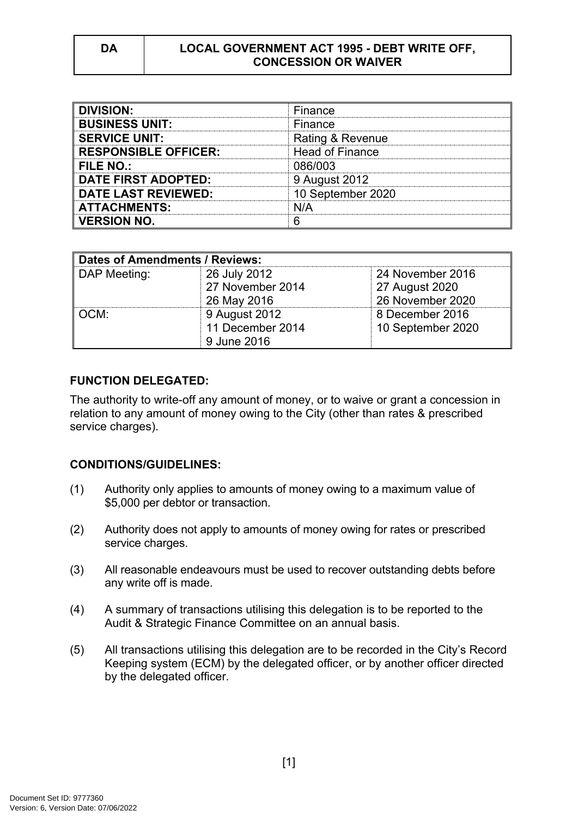#### **DA LOCAL GOVERNMENT ACT 1995 - DEBT WRITE OFF, CONCESSION OR WAIVER**

| <b>DIVISION:</b>            | Finance                |
|-----------------------------|------------------------|
| <b>BUSINESS UNIT:</b>       | Finance                |
| <b>SERVICE UNIT:</b>        | Rating & Revenue       |
| <b>RESPONSIBLE OFFICER:</b> | <b>Head of Finance</b> |
| FILE NO.:                   | 086/003                |
| <b>DATE FIRST ADOPTED:</b>  | 9 August 2012          |
| <b>DATE LAST REVIEWED:</b>  | 10 September 2020      |
| <b>ATTACHMENTS:</b>         | N/A                    |
| <b>VERSION NO.</b>          |                        |

| Dates of Amendments / Reviews: |                                                  |                                                        |
|--------------------------------|--------------------------------------------------|--------------------------------------------------------|
| DAP Meeting:                   | 26 July 2012<br>27 November 2014<br>26 May 2016  | 24 November 2016<br>27 August 2020<br>26 November 2020 |
| ∥ OCM:                         | 9 August 2012<br>11 December 2014<br>9 June 2016 | 8 December 2016<br>10 September 2020                   |

# **FUNCTION DELEGATED:**

The authority to write-off any amount of money, or to waive or grant a concession in relation to any amount of money owing to the City (other than rates & prescribed service charges).

### **CONDITIONS/GUIDELINES:**

- (1) Authority only applies to amounts of money owing to a maximum value of \$5,000 per debtor or transaction.
- (2) Authority does not apply to amounts of money owing for rates or prescribed service charges.
- (3) All reasonable endeavours must be used to recover outstanding debts before any write off is made.
- (4) A summary of transactions utilising this delegation is to be reported to the Audit & Strategic Finance Committee on an annual basis.
- (5) All transactions utilising this delegation are to be recorded in the City's Record Keeping system (ECM) by the delegated officer, or by another officer directed by the delegated officer.